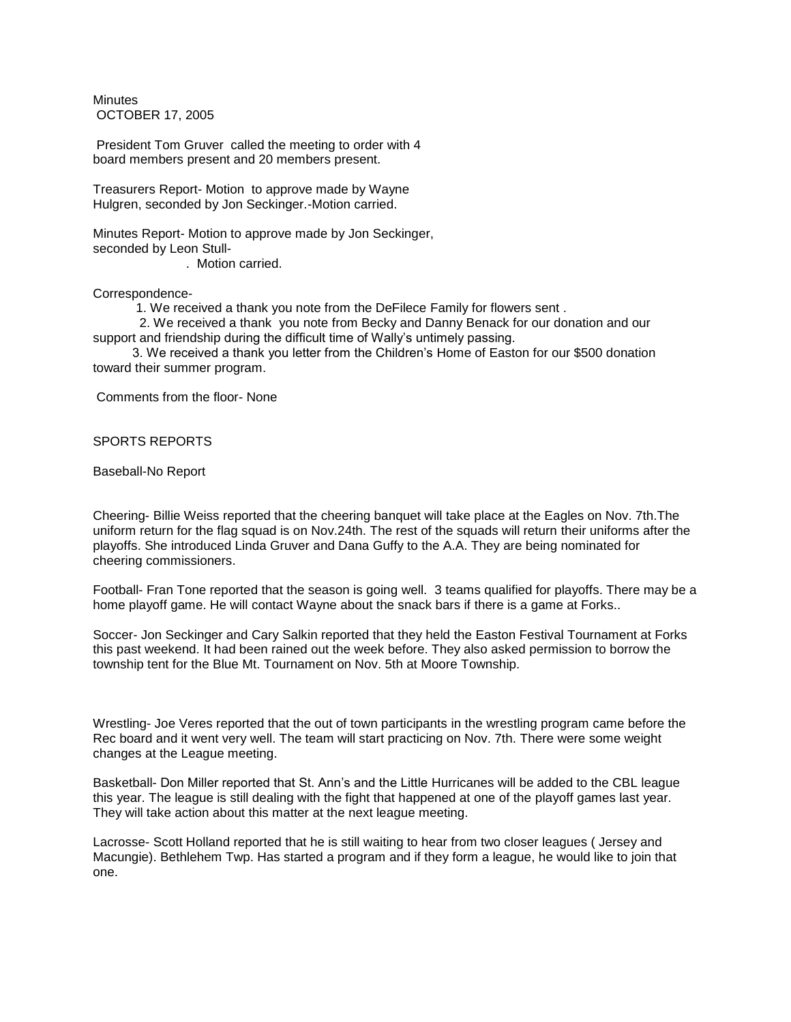**Minutes** OCTOBER 17, 2005

President Tom Gruver called the meeting to order with 4 board members present and 20 members present.

Treasurers Report- Motion to approve made by Wayne Hulgren, seconded by Jon Seckinger.-Motion carried.

Minutes Report- Motion to approve made by Jon Seckinger, seconded by Leon Stull- . Motion carried.

Correspondence-

1. We received a thank you note from the DeFilece Family for flowers sent .

 2. We received a thank you note from Becky and Danny Benack for our donation and our support and friendship during the difficult time of Wally's untimely passing.

 3. We received a thank you letter from the Children's Home of Easton for our \$500 donation toward their summer program.

Comments from the floor- None

SPORTS REPORTS

Baseball-No Report

Cheering- Billie Weiss reported that the cheering banquet will take place at the Eagles on Nov. 7th.The uniform return for the flag squad is on Nov.24th. The rest of the squads will return their uniforms after the playoffs. She introduced Linda Gruver and Dana Guffy to the A.A. They are being nominated for cheering commissioners.

Football- Fran Tone reported that the season is going well. 3 teams qualified for playoffs. There may be a home playoff game. He will contact Wayne about the snack bars if there is a game at Forks..

Soccer- Jon Seckinger and Cary Salkin reported that they held the Easton Festival Tournament at Forks this past weekend. It had been rained out the week before. They also asked permission to borrow the township tent for the Blue Mt. Tournament on Nov. 5th at Moore Township.

Wrestling- Joe Veres reported that the out of town participants in the wrestling program came before the Rec board and it went very well. The team will start practicing on Nov. 7th. There were some weight changes at the League meeting.

Basketball- Don Miller reported that St. Ann's and the Little Hurricanes will be added to the CBL league this year. The league is still dealing with the fight that happened at one of the playoff games last year. They will take action about this matter at the next league meeting.

Lacrosse- Scott Holland reported that he is still waiting to hear from two closer leagues ( Jersey and Macungie). Bethlehem Twp. Has started a program and if they form a league, he would like to join that one.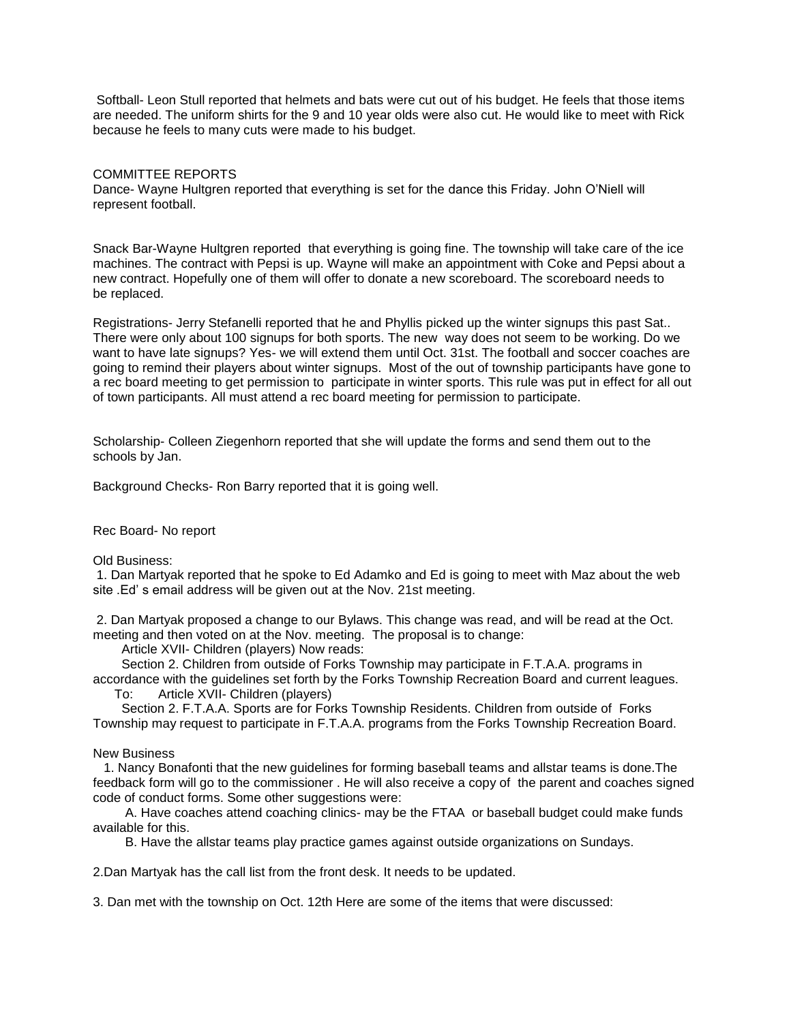Softball- Leon Stull reported that helmets and bats were cut out of his budget. He feels that those items are needed. The uniform shirts for the 9 and 10 year olds were also cut. He would like to meet with Rick because he feels to many cuts were made to his budget.

## COMMITTEE REPORTS

Dance- Wayne Hultgren reported that everything is set for the dance this Friday. John O'Niell will represent football.

Snack Bar-Wayne Hultgren reported that everything is going fine. The township will take care of the ice machines. The contract with Pepsi is up. Wayne will make an appointment with Coke and Pepsi about a new contract. Hopefully one of them will offer to donate a new scoreboard. The scoreboard needs to be replaced.

Registrations- Jerry Stefanelli reported that he and Phyllis picked up the winter signups this past Sat.. There were only about 100 signups for both sports. The new way does not seem to be working. Do we want to have late signups? Yes- we will extend them until Oct. 31st. The football and soccer coaches are going to remind their players about winter signups. Most of the out of township participants have gone to a rec board meeting to get permission to participate in winter sports. This rule was put in effect for all out of town participants. All must attend a rec board meeting for permission to participate.

Scholarship- Colleen Ziegenhorn reported that she will update the forms and send them out to the schools by Jan.

Background Checks- Ron Barry reported that it is going well.

## Rec Board- No report

Old Business:

1. Dan Martyak reported that he spoke to Ed Adamko and Ed is going to meet with Maz about the web site .Ed' s email address will be given out at the Nov. 21st meeting.

2. Dan Martyak proposed a change to our Bylaws. This change was read, and will be read at the Oct. meeting and then voted on at the Nov. meeting. The proposal is to change:

Article XVII- Children (players) Now reads:

 Section 2. Children from outside of Forks Township may participate in F.T.A.A. programs in accordance with the guidelines set forth by the Forks Township Recreation Board and current leagues.

To: Article XVII- Children (players)

 Section 2. F.T.A.A. Sports are for Forks Township Residents. Children from outside of Forks Township may request to participate in F.T.A.A. programs from the Forks Township Recreation Board.

## New Business

 1. Nancy Bonafonti that the new guidelines for forming baseball teams and allstar teams is done.The feedback form will go to the commissioner . He will also receive a copy of the parent and coaches signed code of conduct forms. Some other suggestions were:

 A. Have coaches attend coaching clinics- may be the FTAA or baseball budget could make funds available for this.

B. Have the allstar teams play practice games against outside organizations on Sundays.

2.Dan Martyak has the call list from the front desk. It needs to be updated.

3. Dan met with the township on Oct. 12th Here are some of the items that were discussed: